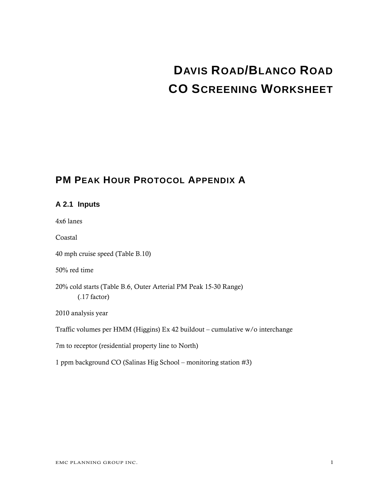# **DAVIS ROAD/BLANCO ROAD CO SCREENING WORKSHEET**

## **PM PEAK HOUR PROTOCOL APPENDIX A**

## **A 2.1 Inputs**  4x6 lanes Coastal 40 mph cruise speed (Table B.10) 50% red time 20% cold starts (Table B.6, Outer Arterial PM Peak 15-30 Range) (.17 factor) 2010 analysis year Traffic volumes per HMM (Higgins) Ex 42 buildout – cumulative w/o interchange 7m to receptor (residential property line to North) 1 ppm background CO (Salinas Hig School – monitoring station #3)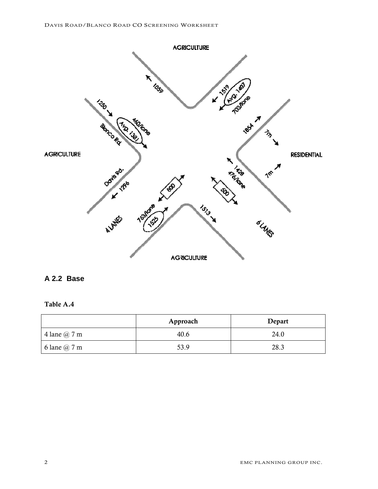

#### **A 2.2 Base**

#### Table A.4

|                     | Approach | Depart |
|---------------------|----------|--------|
| 4 lane $@7m$        | 40.6     | 24.0   |
| 6 lane $\omega$ 7 m | 53.9     | 28.3   |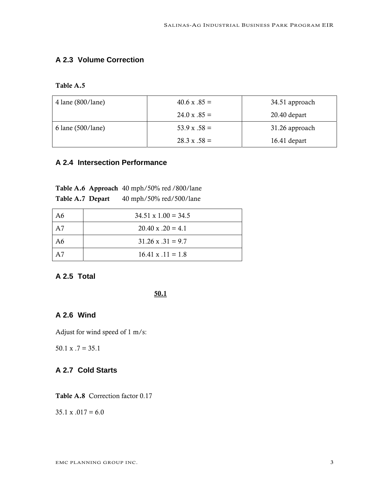## **A 2.3 Volume Correction**

Table A.5

| $4$ lane (800/lane)    | $40.6 x .85 =$<br>34.51 approach |                |
|------------------------|----------------------------------|----------------|
|                        | $24.0 \text{ x } .85 =$          | $20.40$ depart |
| $6$ lane $(500/$ lane) | $53.9 \text{ x } .58 =$          | 31.26 approach |
|                        | $28.3 \times .58 =$              | $16.41$ depart |

#### **A 2.4 Intersection Performance**

|                  | Table A.6 Approach 40 mph/50% red /800/lane |
|------------------|---------------------------------------------|
| Table A.7 Depart | 40 mph/50% red/500/lane                     |

| A6 | $34.51 \times 1.00 = 34.5$ |
|----|----------------------------|
| A7 | $20.40 \times 0.20 = 4.1$  |
| A6 | $31.26 \times .31 = 9.7$   |
|    | $16.41 \times .11 = 1.8$   |

## **A 2.5 Total**

#### 50.1

#### **A 2.6 Wind**

Adjust for wind speed of 1 m/s:

 $50.1 \times .7 = 35.1$ 

## **A 2.7 Cold Starts**

Table A.8 Correction factor 0.17

 $35.1 \times 0.017 = 6.0$